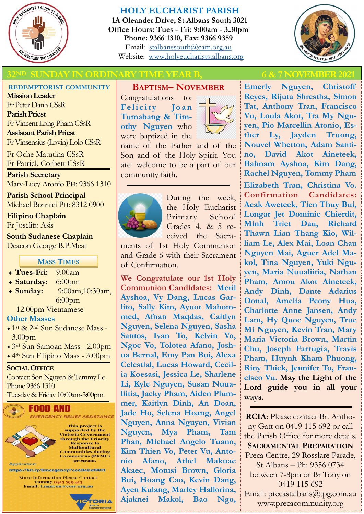

## **HOLY EUCHARIST PARISH**

**1A Oleander Drive, St Albans South 3021 Office Hours: Tues - Fri: 9:00am - 3.30pm Phone: 9366 1310, Fax: 9366 9359** Email: [stalbanssouth@cam.org.au](mailto:stalbanssouth@cam.org.au) Website:[www.holyeuchariststalbans.org](http://www.holyeuchariststalbans.org)



# **32 SUNDAY IN ORDINARY TIME YEAR B, 6 & 7 NOVEMBER 2021**

**REDEMPTORIST COMMUNITY**

**Mission Leader** Fr Peter Danh CSsR **Parish Priest** Fr Vincent Long Pham CSsR **Assistant Parish Priest**  Fr Vinsensius (Lovin) Lolo CSsR

Fr Oche Matutina CSsR Fr Patrick Corbett CSsR

**Parish Secretary** Mary-Lucy Atonio PH: 9366 1310

**Parish School Principal** Michael Bonnici PH: 8312 0900

**Filipino Chaplain**

Fr Joselito Asis

**South Sudanese Chaplain** Deacon George B.P.Meat

**MASS TIMES**

- **Tues-Fri:** 9:00am
- **Saturday**: 6:00pm
- **Sunday:** 9:00am,10:30am,  $6:00$ pm

12:00pm Vietnamese

## **Other Masses**

- 1st & 2nd Sun Sudanese Mass 3.00pm
- 3rd Sun Samoan Mass 2.00pm
- 4th Sun Filipino Mass 3.00pm

**SOCIAL OFFICE**

Contact: Son Nguyen & Tammy Le Phone 9366 1310 Tuesday & Friday 10:00am-3:00pm.

**FOOD AND EMERGENCY RELIEF ASSISTANCE** This project is<br>supported by the **Victoria Government**<br>through the Priority Response to<br>Multicultural **Communities during<br>Coronavirus (PRMC)** program. **Application:** https://bit.ly/EmergencyFoodRelief3021 More Information Please Contact Tammy 0415 599 413<br>Email: t.nguyen@cssr.org.au **TORIA** 

## **BAPTISM– NOVEMBER**

Congratulations to: **Felicity Joan Tumabang & Timothy Nguyen** who were baptized in the



name of the Father and of the Son and of the Holy Spirit. You are welcome to be a part of our community faith.



During the week, the Holy Eucharist Primary School Grades 4, & 5 received the Sacra-

ments of 1st Holy Communion and Grade 6 with their Sacrament of Confirmation.

**We Congratulate our 1st Holy Communion Candidates: Meril Ayshoa, Vy Dang, Lucas Garlito, Sally Kim, Ayuot Mahommed, Afnan Maqdas, Caitlyn Nguyen, Selena Nguyen, Sasha Santos, Ivan To, Kelvin Vo, Ngoc Vo, Tolotea Afano, Joshua Bernal, Emy Pan Bui, Alexa Celestial, Lucas Howard, Cecilia Koesasi, Jessica Le, Sharlene Li, Kyle Nguyen, Susan Nuualiitia, Jacky Pham, Aiden Plummer, Kaitlyn Dinh, An Doan, Jade Ho, Selena Hoang, Angel Nguyen, Anna Nguyen, Vivian Nguyen, Mya Pham, Tam Phan, Michael Angelo Tuano, Kim Thien Vo, Peter Vu, Antonio Afano, Athel Makuac Akaec, Motusi Brown, Gloria Bui, Hoang Cao, Kevin Dang, Ayen Kulang, Marley Hallorina, Ajaknei Makol, Bao Ngo,** 

**Emerly Nguyen, Christoff Reyes, Rijuta Shrestha, Simon Tat, Anthony Tran, Francisco Vu, Loula Akot, Tra My Nguyen, Pio Marcellin Atonio, Esther Ly, Jayden Truong, Nouvel Whetton, Adam Santino, David Akot Aineteek, Bahnam Ayshoa, Kim Dang, Rachel Nguyen, Tommy Pham Elizabeth Tran, Christina Vo. Confirmation Candidates: Aeak Aweteek, Tien Thuy Bui, Longar Jet Dominic Chierdit, Minh Triet Dau, Richard Thawn Lian Thang Kio, William Le, Alex Mai, Loan Chau Nguyen Mai, Aguer Adel Makol, Tina Nguyen, Yuki Nguyen, Maria Nuualiitia, Nathan Pham, Amou Akot Aineteek, Andy Dinh, Dante Adarius Donal, Amelia Peony Hua, Charlotte Anne Jansen, Andy Lam, Hy Quoc Nguyen, Truc Mi Nguyen, Kevin Tran, Mary Maria Victoria Brown, Martin Chu, Joseph Farrugia, Travis Pham, Huynh Kham Phuong, Riny Thiek, Jennifer To, Francisco Vu. May the Light of the Lord guide you in all your ways.**

**RCIA**: Please contact Br. Anthony Gatt on 0419 115 692 or call the Parish Office for more details. **SACRAMENTAL PREPARATION** Preca Centre, 29 Rosslare Parade, St Albans – Ph: 9356 0734 between 7-8pm or Br Tony on 0419 115 692 Email: precastalbans@tpg.com.au www.precacommunity.org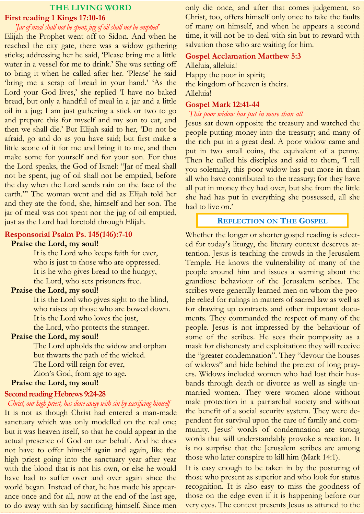## **THE LIVING WORD First reading 1 Kings 17:10-16**

# *'Jar of meal shall not be spent, jug of oil shall not be emptied'*

Elijah the Prophet went off to Sidon. And when he reached the city gate, there was a widow gathering sticks; addressing her he said, 'Please bring me a little water in a vessel for me to drink.' She was setting off to bring it when he called after her. 'Please' he said 'bring me a scrap of bread in your hand.' 'As the Lord your God lives,' she replied 'I have no baked bread, but only a handful of meal in a jar and a little oil in a jug; I am just gathering a stick or two to go and prepare this for myself and my son to eat, and then we shall die.' But Elijah said to her, 'Do not be afraid, go and do as you have said; but first make a little scone of it for me and bring it to me, and then make some for yourself and for your son. For thus the Lord speaks, the God of Israel: "Jar of meal shall not be spent, jug of oil shall not be emptied, before the day when the Lord sends rain on the face of the earth."' The woman went and did as Elijah told her and they ate the food, she, himself and her son. The jar of meal was not spent nor the jug of oil emptied, just as the Lord had foretold through Elijah.

## **Responsorial Psalm Ps. 145(146):7-10**

## **Praise the Lord, my soul!**

It is the Lord who keeps faith for ever, who is just to those who are oppressed. It is he who gives bread to the hungry, the Lord, who sets prisoners free.

## **Praise the Lord, my soul!**

It is the Lord who gives sight to the blind, who raises up those who are bowed down. It is the Lord who loves the just,

the Lord, who protects the stranger.

## **Praise the Lord, my soul!**

The Lord upholds the widow and orphan but thwarts the path of the wicked. The Lord will reign for ever, Zion's God, from age to age.

## **Praise the Lord, my soul!**

## **Second reading Hebrews 9:24-28**

## *Christ, our high priest, has done away with sin by sacrificing himself*

It is not as though Christ had entered a man-made sanctuary which was only modelled on the real one; but it was heaven itself, so that he could appear in the actual presence of God on our behalf. And he does not have to offer himself again and again, like the high priest going into the sanctuary year after year with the blood that is not his own, or else he would have had to suffer over and over again since the world began. Instead of that, he has made his appearance once and for all, now at the end of the last age, to do away with sin by sacrificing himself. Since men

only die once, and after that comes judgement, so Christ, too, offers himself only once to take the faults of many on himself, and when he appears a second time, it will not be to deal with sin but to reward with salvation those who are waiting for him.

## **Gospel Acclamation Matthew 5:3**

Alleluia, alleluia! Happy the poor in spirit; the kingdom of heaven is theirs. Alleluia!

## **Gospel Mark 12:41-44**

*This poor widow has put in more than all*

Jesus sat down opposite the treasury and watched the people putting money into the treasury; and many of the rich put in a great deal. A poor widow came and put in two small coins, the equivalent of a penny. Then he called his disciples and said to them, 'I tell you solemnly, this poor widow has put more in than all who have contributed to the treasury; for they have all put in money they had over, but she from the little she had has put in everything she possessed, all she had to live on.'

## **REFLECTION ON THE GOSPEL**

Whether the longer or shorter gospel reading is selected for today's liturgy, the literary context deserves attention. Jesus is teaching the crowds in the Jerusalem Temple. He knows the vulnerability of many of the people around him and issues a warning about the grandiose behaviour of the Jerusalem scribes. The scribes were generally learned men on whom the people relied for rulings in matters of sacred law as well as for drawing up contracts and other important documents. They commanded the respect of many of the people. Jesus is not impressed by the behaviour of some of the scribes. He sees their pomposity as a mask for dishonesty and exploitation: they will receive the "greater condemnation". They "devour the houses of widows" and hide behind the pretext of long prayers. Widows included women who had lost their husbands through death or divorce as well as single unmarried women. They were women alone without male protection in a patriarchal society and without the benefit of a social security system. They were dependent for survival upon the care of family and community. Jesus' words of condemnation are strong words that will understandably provoke a reaction. It is no surprise that the Jerusalem scribes are among those who later conspire to kill him (Mark 14:1).

It is easy enough to be taken in by the posturing of those who present as superior and who look for status recognition. It is also easy to miss the goodness of those on the edge even if it is happening before our very eyes. The context presents Jesus as attuned to the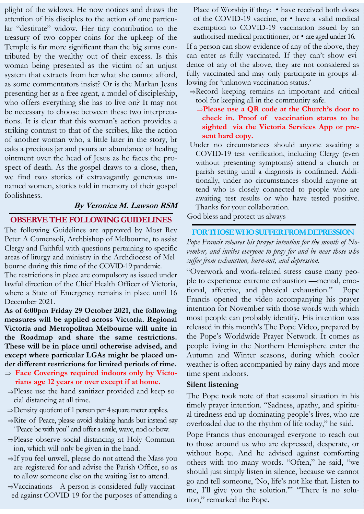plight of the widows. He now notices and draws the attention of his disciples to the action of one particular "destitute" widow. Her tiny contribution to the treasury of two copper coins for the upkeep of the Temple is far more significant than the big sums contributed by the wealthy out of their excess. Is this woman being presented as the victim of an unjust system that extracts from her what she cannot afford, as some commentators insist? Or is the Markan Jesus presenting her as a free agent, a model of discipleship, who offers everything she has to live on? It may not be necessary to choose between these two interpretations. It is clear that this woman's action provides a striking contrast to that of the scribes, like the action of another woman who, a little later in the story, br eaks a precious jar and pours an abundance of healing ointment over the head of Jesus as he faces the prospect of death. As the gospel draws to a close, then, we find two stories of extravagantly generous unnamed women, stories told in memory of their gospel foolishness.

## **By Veronica M. Lawson RSM**

### **OBSERVE THE FOLLOWING GUIDELINES**

The following Guidelines are approved by Most Rev Peter A Comensoli, Archbishop of Melbourne, to assist Clergy and Faithful with questions pertaining to specific areas of liturgy and ministry in the Archdiocese of Melbourne during this time of the COVID-19 pandemic.

The restrictions in place are compulsory as issued under lawful direction of the Chief Health Officer of Victoria, where a State of Emergency remains in place until 16 December 2021.

**As of 6:00pm Friday 29 October 2021, the following measures will be applied across Victoria. Regional Victoria and Metropolitan Melbourne will unite in the Roadmap and share the same restrictions. These will be in place until otherwise advised, and except where particular LGAs might be placed under different restrictions for limited periods of time.** 

- **Face Coverings required indoors only by Victorians age 12 years or over except if at home.**
- $\Rightarrow$ Please use the hand sanitizer provided and keep social distancing at all time.
- $\Rightarrow$  Density quotient of 1 person per 4 square meter applies.
- $\Rightarrow$ Rite of Peace, please avoid shaking hands but instead say "Peace be with you" and offer a smile, wave, nod or bow.
- $\Rightarrow$ Please observe social distancing at Holy Communion, which will only be given in the hand.
- $\Rightarrow$ If you feel unwell, please do not attend the Mass you are registered for and advise the Parish Office, so as to allow someone else on the waiting list to attend.
- $\Rightarrow$ Vaccinations A person is considered fully vaccinated against COVID-19 for the purposes of attending a

Place of Worship if they: • have received both doses of the COVID-19 vaccine, or • have a valid medical exemption to COVID-19 vaccination issued by an authorised medical practitioner, or • are aged under 16.

If a person can show evidence of any of the above, they can enter as fully vaccinated. If they can't show evidence of any of the above, they are not considered as fully vaccinated and may only participate in groups allowing for 'unknown vaccination status.'

- $\Rightarrow$  Record keeping remains an important and critical tool for keeping all in the community safe.
	- **Please use a QR code at the Church's door to check in. Proof of vaccination status to be sighted via the Victoria Services App or present hard copy.**
- Under no circumstances should anyone awaiting a COVID-19 test verification, including Clergy (even without presenting symptoms) attend a church or parish setting until a diagnosis is confirmed. Additionally, under no circumstances should anyone attend who is closely connected to people who are awaiting test results or who have tested positive. Thanks for your collaboration.

God bless and protect us always

**FOR THOSE WHO SUFFER FROM DEPRESSION** *Pope Francis releases his prayer intention for the month of November, and invites everyone to pray for and be near those who suffer from exhaustion, burn-out, and depression.*

"Overwork and work-related stress cause many people to experience extreme exhaustion —mental, emotional, affective, and physical exhaustion." Pope Francis opened the video accompanying his prayer intention for November with those words with which most people can probably identify. His intention was released in this month's The Pope Video, prepared by the [Pope's Worldwide Prayer Network.](https://www.popesprayer.va/) It comes as people living in the Northern Hemisphere enter the Autumn and Winter seasons, during which cooler weather is often accompanied by rainy days and more time spent indoors.

#### **Silent listening**

The Pope took note of that seasonal situation in his timely prayer intention. "Sadness, apathy, and spiritual tiredness end up dominating people's lives, who are overloaded due to the rhythm of life today," he said.

Pope Francis thus encouraged everyone to reach out to those around us who are depressed, desperate, or without hope. And he advised against comforting others with too many words. "Often," he said, "we should just simply listen in silence, because we cannot go and tell someone, 'No, life's not like that. Listen to me, I'll give you the solution.'" "There is no solution," remarked the Pope.